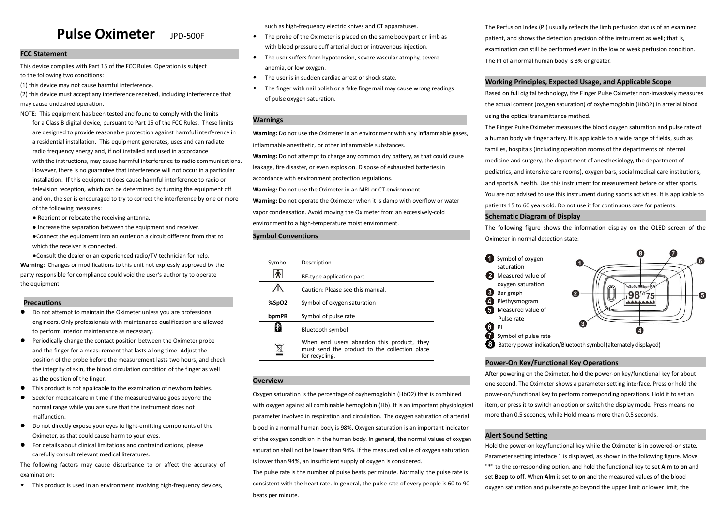# **Pulse Oximeter** JPD-500F

# **FCC Statement**

This device complies with Part 15 of the FCC Rules. Operation is subject to the following two conditions:

(1) this device may not cause harmful interference.

(2) this device must accept any interference received, including interference that may cause undesired operation.

- NOTE: This equipment has been tested and found to comply with the limits for a Class B digital device, pursuant to Part 15 of the FCC Rules. These limits are designed to provide reasonable protection against harmful interference in a residential installation. This equipment generates, uses and can radiate radio frequency energy and, if not installed and used in accordance with the instructions, may cause harmful interference to radio communications. However, there is no guarantee that interference will not occur in a particular installation. If this equipment does cause harmful interference to radio or television reception, which can be determined by turning the equipment off and on, the ser is encouraged to try to correct the interference by one or more of the following measures:
	- Reorient or relocate the receiving antenna.
	- Increase the separation between the equipment and receiver.
	- ●Connect the equipment into an outlet on a circuit different from that to which the receiver is connected.

●Consult the dealer or an experienced radio/TV technician for help. **Warning:** Changes or modifications to this unit not expressly approved by the party responsible for compliance could void the user's authority to operate the equipment.

# **Precautions**

- Do not attempt to maintain the Oximeter unless you are professional engineers. Only professionals with maintenance qualification are allowed to perform interior maintenance as necessary.
- **•** Periodically change the contact position between the Oximeter probe and the finger for a measurement that lasts a long time. Adjust the position of the probe before the measurement lasts two hours, and check the integrity of skin, the blood circulation condition of the finger as well as the position of the finger.
- This product is not applicable to the examination of newborn babies.
- Seek for medical care in time if the measured value goes beyond the normal range while you are sure that the instrument does not malfunction.
- Do not directly expose your eyes to light-emitting components of the Oximeter, as that could cause harm to your eyes.
- For details about clinical limitations and contraindications, please carefully consult relevant medical literatures.

The following factors may cause disturbance to or affect the accuracy of examination:

◆ This product is used in an environment involving high-frequency devices,

such as high-frequency electric knives and CT apparatuses.

- ◆ The probe of the Oximeter is placed on the same body part or limb as with blood pressure cuff arterial duct or intravenous injection.
- ◆ The user suffers from hypotension, severe vascular atrophy, severe anemia, or low oxygen.
- ◆ The user is in sudden cardiac arrest or shock state.
- The finger with nail polish or a fake fingernail may cause wrong readings of pulse oxygen saturation.

# **Warnings**

**Warning:** Do not use the Oximeter in an environment with any inflammable gases, inflammable anesthetic, or other inflammable substances.

**Warning:** Do not attempt to charge any common dry battery, as that could cause leakage, fire disaster, or even explosion. Dispose of exhausted batteries in accordance with environment protection regulations.

**Warning:** Do not use the Oximeter in an MRI or CT environment.

**Warning:** Do not operate the Oximeter when it is damp with overflow or water vapor condensation. Avoid moving the Oximeter from an excessively-cold environment to a high-temperature moist environment.

# **Symbol Conventions**

| Symbol | Description                                                                                                  |  |  |
|--------|--------------------------------------------------------------------------------------------------------------|--|--|
|        | BF-type application part                                                                                     |  |  |
|        | Caution: Please see this manual.                                                                             |  |  |
| %SpO2  | Symbol of oxygen saturation                                                                                  |  |  |
| bpmPR  | Symbol of pulse rate                                                                                         |  |  |
|        | <b>Bluetooth symbol</b>                                                                                      |  |  |
|        | When end users abandon this product, they<br>must send the product to the collection place<br>for recycling. |  |  |

# **Overview**

Oxygen saturation is the percentage of oxyhemoglobin (HbO2) that is combined with oxygen against all combinable hemoglobin (Hb). It is an important physiological parameter involved in respiration and circulation. The oxygen saturation of arterial blood in a normal human body is 98%. Oxygen saturation is an important indicator of the oxygen condition in the human body. In general, the normal values of oxygen saturation shall not be lower than 94%. If the measured value of oxygen saturation is lower than 94%, an insufficient supply of oxygen is considered.

The pulse rate is the number of pulse beats per minute. Normally, the pulse rate is consistent with the heart rate. In general, the pulse rate of every people is 60 to 90 beats per minute.

The Perfusion Index (PI) usually reflects the limb perfusion status of an examined patient, and shows the detection precision of the instrument as well; that is, examination can still be performed even in the low or weak perfusion condition. The PI of a normal human body is 3% or greater.

# **Working Principles, Expected Usage, and Applicable Scope**

Based on full digital technology, the Finger Pulse Oximeter non-invasively measures the actual content (oxygen saturation) of oxyhemoglobin (HbO2) in arterial blood using the optical transmittance method.

The Finger Pulse Oximeter measures the blood oxygen saturation and pulse rate of a human body via finger artery. It is applicable to a wide range of fields, such as families, hospitals (including operation rooms of the departments of internal medicine and surgery, the department of anesthesiology, the department of pediatrics, and intensive care rooms), oxygen bars, social medical care institutions, and sports & health. Use this instrument for measurement before or after sports. You are not advised to use this instrument during sports activities. It is applicable to patients 15 to 60 years old. Do not use it for continuous care for patients.

# **Schematic Diagram of Display**

The following figure shows the information display on the OLED screen of the Oximeter in normal detection state:



# **Power-On Key/Functional Key Operations**

After powering on the Oximeter, hold the power-on key/functional key for about one second. The Oximeter shows a parameter setting interface. Press or hold the power-on/functional key to perform corresponding operations. Hold it to set an item, or press it to switch an option or switch the display mode. Press means no more than 0.5 seconds, while Hold means more than 0.5 seconds.

# **Alert Sound Setting**

Hold the power-on key/functional key while the Oximeter is in powered-on state. Parameter setting interface 1 is displayed, as shown in the following figure. Move "\*" to the corresponding option, and hold the functional key to set **Alm** to **on** and set **Beep** to **off**. When **Alm** is set to **on** and the measured values of the blood oxygen saturation and pulse rate go beyond the upper limit or lower limit, the